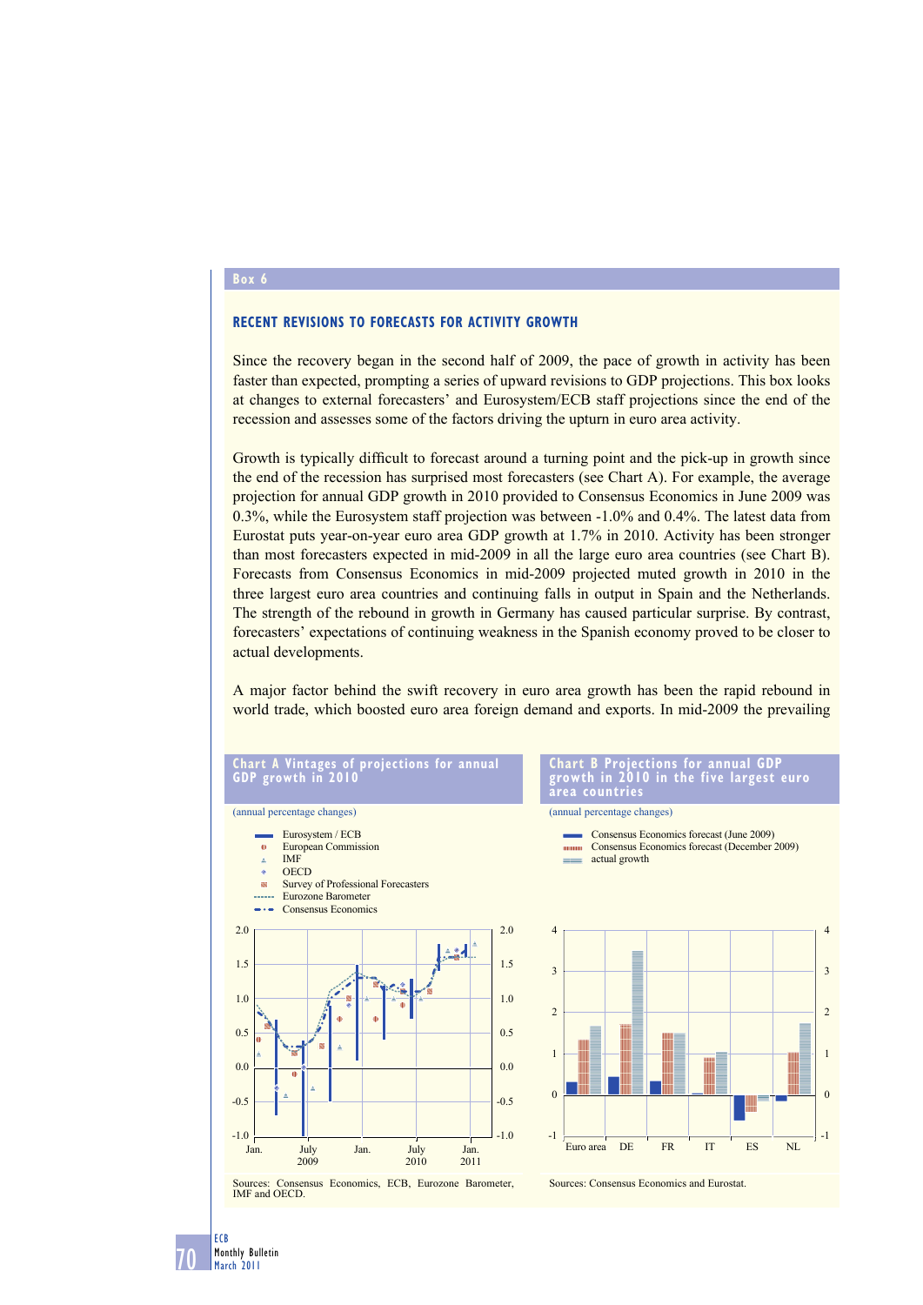## **Box 6**

## **RECENT REVISIONS TO FORECASTS FOR ACTIVITY GROWTH**

Since the recovery began in the second half of 2009, the pace of growth in activity has been faster than expected, prompting a series of upward revisions to GDP projections. This box looks at changes to external forecasters' and Eurosystem/ECB staff projections since the end of the recession and assesses some of the factors driving the upturn in euro area activity.

Growth is typically difficult to forecast around a turning point and the pick-up in growth since the end of the recession has surprised most forecasters (see Chart A). For example, the average projection for annual GDP growth in 2010 provided to Consensus Economics in June 2009 was 0.3%, while the Eurosystem staff projection was between -1.0% and 0.4%. The latest data from Eurostat puts year-on-year euro area GDP growth at 1.7% in 2010. Activity has been stronger than most forecasters expected in mid-2009 in all the large euro area countries (see Chart B). Forecasts from Consensus Economics in mid-2009 projected muted growth in 2010 in the three largest euro area countries and continuing falls in output in Spain and the Netherlands. The strength of the rebound in growth in Germany has caused particular surprise. By contrast, forecasters' expectations of continuing weakness in the Spanish economy proved to be closer to actual developments.

A major factor behind the swift recovery in euro area growth has been the rapid rebound in world trade, which boosted euro area foreign demand and exports. In mid-2009 the prevailing